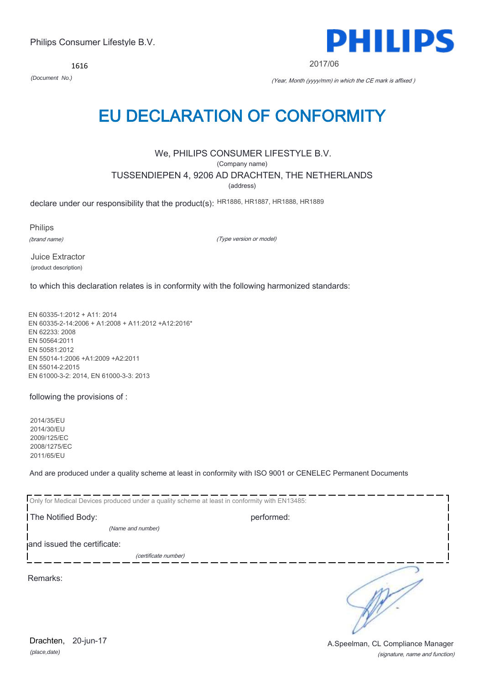1616



2017/06

*(Document No.)* (Year, Month (yyyy/mm) in which the CE mark is affixed )

# EU DECLARATION OF CONFORMITY

## We, PHILIPS CONSUMER LIFESTYLE B.V.

(Company name)

TUSSENDIEPEN 4, 9206 AD DRACHTEN, THE NETHERLANDS

(address)

declare under our responsibility that the product(s): HR1886, HR1887, HR1888, HR1889

Philips

(brand name)

(Type version or model)

Juice Extractor (product description)

to which this declaration relates is in conformity with the following harmonized standards:

EN 60335-1:2012 + A11: 2014 EN 60335-2-14:2006 + A1:2008 + A11:2012 +A12:2016\* EN 62233: 2008 EN 50564:2011 EN 50581:2012 EN 55014-1:2006 +A1:2009 +A2:2011 EN 55014-2:2015 EN 61000-3-2: 2014, EN 61000-3-3: 2013

following the provisions of :

2014/35/EU 2014/30/EU 2009/125/EC 2008/1275/EC 2011/65/EU

And are produced under a quality scheme at least in conformity with ISO 9001 or CENELEC Permanent Documents

| Only for Medical Devices produced under a quality scheme at least in conformity with EN13485: |            |  |
|-----------------------------------------------------------------------------------------------|------------|--|
| The Notified Body:                                                                            | performed: |  |
| (Name and number)                                                                             |            |  |
| and issued the certificate:                                                                   |            |  |
| (certificate number)                                                                          |            |  |
| Remarks:                                                                                      |            |  |

*(place,date)* Drachten, 20-jun-17

(signature, name and function) A.Speelman, CL Compliance Manager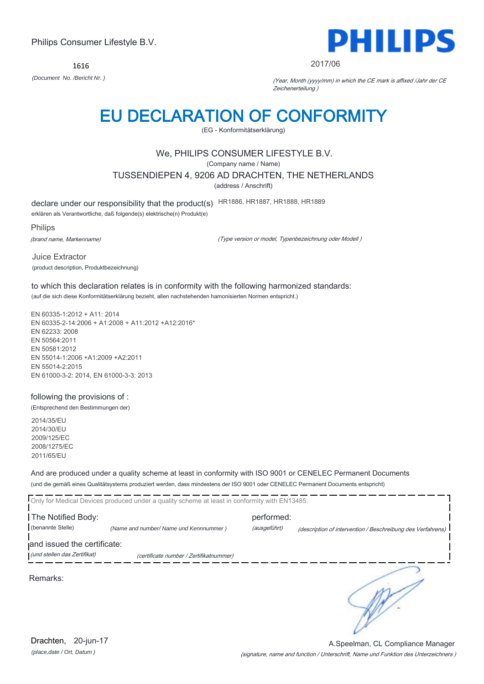1616



#### 2017/06

*(Document No. /Bericht Nr. )* (Year, Month (yyyy/mm) in which the CE mark is affixed /Jahr der CE Zeichenerteilung )

# EU DECLARATION OF CONFORMITY

(EG - Konformitätserklärung)

## We, PHILIPS CONSUMER LIFESTYLE B.V.

(Company name / Name)

TUSSENDIEPEN 4, 9206 AD DRACHTEN, THE NETHERLANDS

(address / Anschrift)

declare under our responsibility that the product(s) HR1886, HR1887, HR1888, HR1889

erklären als Verantwortliche, daß folgende(s) elektrische(n) Produkt(e)

Philips

(brand name, Markenname)

(Type version or model, Typenbezeichnung oder Modell )

Juice Extractor (product description, Produktbezeichnung)

to which this declaration relates is in conformity with the following harmonized standards: (auf die sich diese Konformitätserklärung bezieht, allen nachstehenden hamonisierten Normen entspricht.)

EN 60335-1:2012 + A11: 2014 EN 60335-2-14:2006 + A1:2008 + A11:2012 +A12:2016\* EN 62233: 2008 EN 50564:2011 EN 50581:2012 EN 55014-1:2006 +A1:2009 +A2:2011 EN 55014-2:2015 EN 61000-3-2: 2014, EN 61000-3-3: 2013

## following the provisions of :

(Entsprechend den Bestimmungen der)

2014/35/EU 2014/30/EU 2009/125/EC 2008/1275/EC 2011/65/EU

And are produced under a quality scheme at least in conformity with ISO 9001 or CENELEC Permanent Documents (und die gemäß eines Qualitätsystems produziert werden, dass mindestens der ISO 9001 oder CENELEC Permanent Documents entspricht)

|                                                             | Only for Medical Devices produced under a quality scheme at least in conformity with EN13485: |                            |                                                             |
|-------------------------------------------------------------|-----------------------------------------------------------------------------------------------|----------------------------|-------------------------------------------------------------|
| The Notified Body:<br>(benannte Stelle)                     | (Name and number/ Name und Kennnummer)                                                        | performed:<br>(ausgeführt) | (description of intervention / Beschreibung des Verfahrens) |
| and issued the certificate:<br>(und stellen das Zertifikat) | (certificate number / Zertifikatnummer)                                                       |                            |                                                             |
| Remarks:                                                    |                                                                                               |                            |                                                             |

*(place,date / Ort, Datum )* Drachten, 20-jun-17

(signature, name and function / Unterschrift, Name und Funktion des Unterzeichners ) A.Speelman, CL Compliance Manager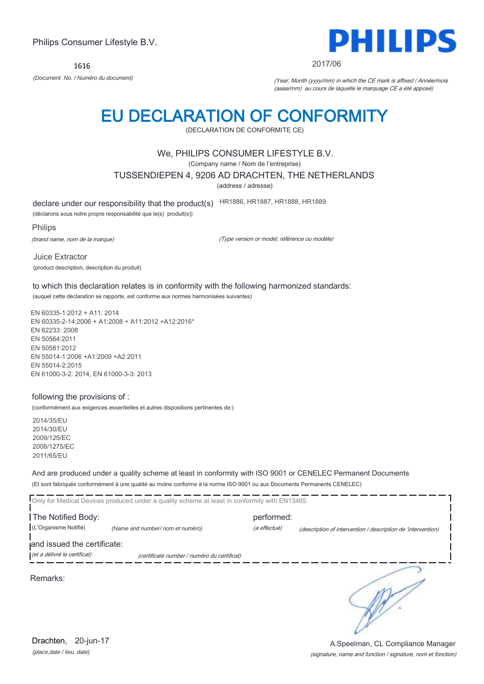1616



2017/06

*(Document No. / Numéro du document)* (Year, Month (yyyy/mm) in which the CE mark is affixed / Année/mois (aaaa/mm) au cours de laquelle le marquage CE a été apposé)

# EU DECLARATION OF CONFORMITY

(DECLARATION DE CONFORMITE CE)

## We, PHILIPS CONSUMER LIFESTYLE B.V.

(Company name / Nom de l'entreprise)

TUSSENDIEPEN 4, 9206 AD DRACHTEN, THE NETHERLANDS

(address / adresse)

declare under our responsibility that the product(s) HR1886, HR1887, HR1888, HR1889

(déclarons sous notre propre responsabilité que le(s) produit(s))

Philips

(brand name, nom de la marque)

(Type version or model, référence ou modèle)

Juice Extractor (product description, description du produit)

to which this declaration relates is in conformity with the following harmonized standards: (auquel cette déclaration se rapporte, est conforme aux normes harmonisées suivantes)

EN 60335-1:2012 + A11: 2014 EN 60335-2-14:2006 + A1:2008 + A11:2012 +A12:2016\* EN 62233: 2008 EN 50564:2011 EN 50581:2012 EN 55014-1:2006 +A1:2009 +A2:2011 EN 55014-2:2015 EN 61000-3-2: 2014, EN 61000-3-3: 2013

### following the provisions of :

(conformément aux exigences essentielles et autres dispositions pertinentes de:)

2014/35/EU 2014/30/EU 2009/125/EC 2008/1275/EC 2011/65/EU

And are produced under a quality scheme at least in conformity with ISO 9001 or CENELEC Permanent Documents (Et sont fabriqués conformément à une qualité au moins conforme à la norme ISO 9001 ou aux Documents Permanents CENELEC)

|                                             | Only for Medical Devices produced under a quality scheme at least in conformity with EN13485: |                            |                                                              |  |
|---------------------------------------------|-----------------------------------------------------------------------------------------------|----------------------------|--------------------------------------------------------------|--|
| The Notified Body:<br>(L'Organisme Notifié) | (Name and number/ nom et numéro)                                                              | performed:<br>(a effectué) | (description of intervention / description de 'intervention) |  |
| and issued the certificate:                 |                                                                                               |                            |                                                              |  |
| (et a délivré le certificat)                | (certificate number / numéro du certificat)                                                   |                            |                                                              |  |
| Remarks:                                    |                                                                                               |                            |                                                              |  |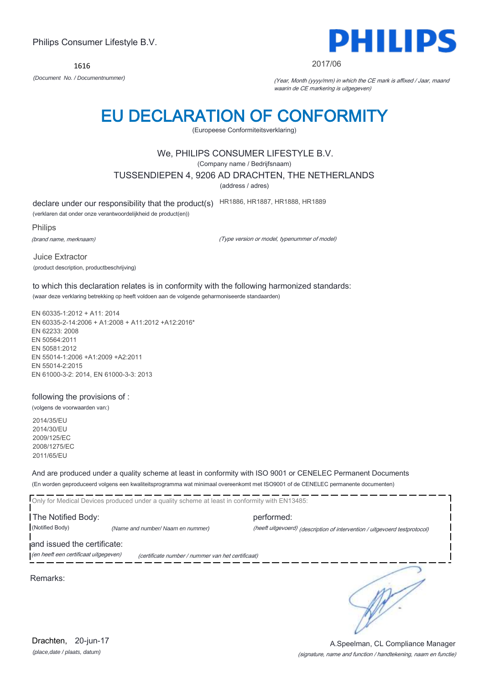1616



#### 2017/06

*(Document No. / Documentnummer)* (Year, Month (yyyy/mm) in which the CE mark is affixed / Jaar, maand waarin de CE markering is uitgegeven)

# EU DECLARATION OF CONFORMITY

(Europeese Conformiteitsverklaring)

## We, PHILIPS CONSUMER LIFESTYLE B.V.

(Company name / Bedrijfsnaam)

TUSSENDIEPEN 4, 9206 AD DRACHTEN, THE NETHERLANDS

(address / adres)

declare under our responsibility that the product(s) HR1886, HR1887, HR1888, HR1889

(verklaren dat onder onze verantwoordelijkheid de product(en))

Philips

(brand name, merknaam)

(Type version or model, typenummer of model)

Juice Extractor (product description, productbeschrijving)

to which this declaration relates is in conformity with the following harmonized standards: (waar deze verklaring betrekking op heeft voldoen aan de volgende geharmoniseerde standaarden)

EN 60335-1:2012 + A11: 2014 EN 60335-2-14:2006 + A1:2008 + A11:2012 +A12:2016\* EN 62233: 2008 EN 50564:2011 EN 50581:2012 EN 55014-1:2006 +A1:2009 +A2:2011 EN 55014-2:2015 EN 61000-3-2: 2014, EN 61000-3-3: 2013

### following the provisions of :

(volgens de voorwaarden van:)

2014/35/EU 2014/30/EU 2009/125/EC 2008/1275/EC 2011/65/EU

And are produced under a quality scheme at least in conformity with ISO 9001 or CENELEC Permanent Documents (En worden geproduceerd volgens een kwaliteitsprogramma wat minimaal overeenkomt met ISO9001 of de CENELEC permanente documenten)

Only for Medical Devices produced under a quality scheme at least in conformity with EN13485: The Notified Body: performed: (Notified Body) *(Name and number/ Naam en nummer)* (heeft uitgevoerd) (description of intervention / uitgevoerd testprotocol) and issued the certificate: (en heeft een certificaat uitgegeven) (certificate number / nummer van het certificaat) ∍

Remarks:

*(place,date / plaats, datum)* Drachten, 20-jun-17

### (signature, name and function / handtekening, naam en functie) A.Speelman, CL Compliance Manager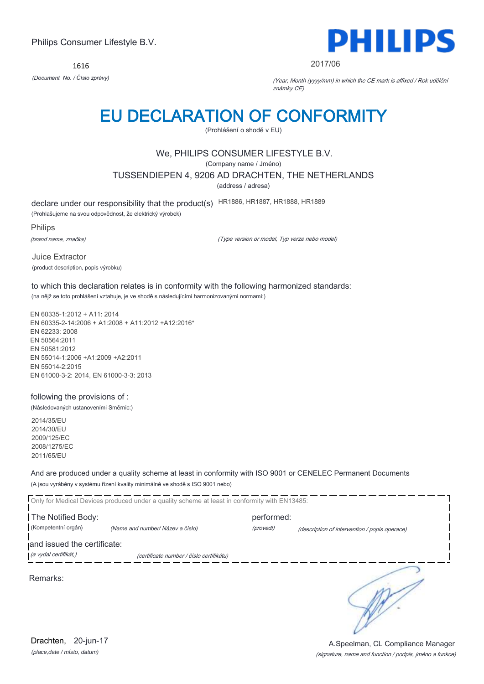1616



#### 2017/06

*(Document No. / Číslo zprávy)* (Year, Month (yyyy/mm) in which the CE mark is affixed / Rok udělění známky CE)

# EU DECLARATION OF CONFORMITY

(Prohlášení o shodě v EU)

# We, PHILIPS CONSUMER LIFESTYLE B.V.

(Company name / Jméno)

TUSSENDIEPEN 4, 9206 AD DRACHTEN, THE NETHERLANDS

(address / adresa)

declare under our responsibility that the product(s) HR1886, HR1887, HR1888, HR1889

(Prohlašujeme na svou odpovědnost, že elektrický výrobek)

Philips

(brand name, značka)

(Type version or model, Typ verze nebo model)

Juice Extractor (product description, popis výrobku)

to which this declaration relates is in conformity with the following harmonized standards: (na nějž se toto prohlášení vztahuje, je ve shodě s následujícími harmonizovanými normami:)

EN 60335-1:2012 + A11: 2014 EN 60335-2-14:2006 + A1:2008 + A11:2012 +A12:2016\* EN 62233: 2008 EN 50564:2011 EN 50581:2012 EN 55014-1:2006 +A1:2009 +A2:2011 EN 55014-2:2015 EN 61000-3-2: 2014, EN 61000-3-3: 2013

## following the provisions of :

(Následovaných ustanoveními Směrnic:)

2014/35/EU 2014/30/EU 2009/125/EC 2008/1275/EC 2011/65/EU

And are produced under a quality scheme at least in conformity with ISO 9001 or CENELEC Permanent Documents (A jsou vyráběny v systému řízení kvality minimálně ve shodě s ISO 9001 nebo)

|                                                      | Only for Medical Devices produced under a quality scheme at least in conformity with EN13485: |                         |                                               |
|------------------------------------------------------|-----------------------------------------------------------------------------------------------|-------------------------|-----------------------------------------------|
| The Notified Body:<br>(Kompetentní orgán)            | (Name and number/ Název a číslo)                                                              | performed:<br>(provedl) | (description of intervention / popis operace) |
| and issued the certificate:<br>(a vydal certifikát,) | (certificate number / číslo certifikátu)                                                      |                         |                                               |
| Remarks:                                             |                                                                                               |                         |                                               |

*(place,date / místo, datum)* Drachten, 20-jun-17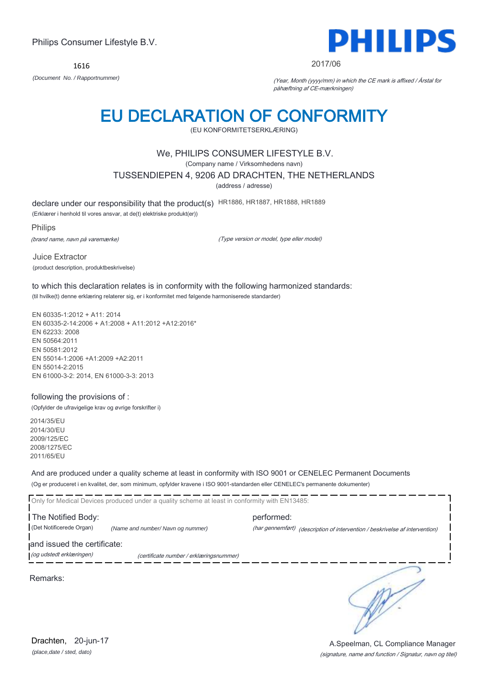1616



#### 2017/06

*(Document No. / Rapportnummer)* (Year, Month (yyyy/mm) in which the CE mark is affixed / Årstal for påhæftning af CE-mærkningen)

# EU DECLARATION OF CONFORMITY

(EU KONFORMITETSERKLÆRING)

## We, PHILIPS CONSUMER LIFESTYLE B.V.

(Company name / Virksomhedens navn)

TUSSENDIEPEN 4, 9206 AD DRACHTEN, THE NETHERLANDS

(address / adresse)

declare under our responsibility that the product(s) HR1886, HR1887, HR1888, HR1889

(Erklærer i henhold til vores ansvar, at de(t) elektriske produkt(er))

Philips

(brand name, navn på varemærke)

(Type version or model, type eller model)

Juice Extractor (product description, produktbeskrivelse)

to which this declaration relates is in conformity with the following harmonized standards: (til hvilke(t) denne erklæring relaterer sig, er i konformitet med følgende harmoniserede standarder)

EN 60335-1:2012 + A11: 2014 EN 60335-2-14:2006 + A1:2008 + A11:2012 +A12:2016\* EN 62233: 2008 EN 50564:2011 EN 50581:2012 EN 55014-1:2006 +A1:2009 +A2:2011 EN 55014-2:2015 EN 61000-3-2: 2014, EN 61000-3-3: 2013

## following the provisions of :

(Opfylder de ufravigelige krav og øvrige forskrifter i)

2014/35/EU 2014/30/EU 2009/125/EC 2008/1275/EC 2011/65/EU

And are produced under a quality scheme at least in conformity with ISO 9001 or CENELEC Permanent Documents (Og er produceret i en kvalitet, der, som minimum, opfylder kravene i ISO 9001-standarden eller CENELEC's permanente dokumenter)

Only for Medical Devices produced under a quality scheme at least in conformity with EN13485: The Notified Body: example and the performed: (Det Notificerede Organ) *(Name and number/ Navn og nummer)* (har gennemført) (description of intervention / beskrivelse af intervention) and issued the certificate: (og udstedt erklæringen) (certificate number / erklæringsnummer)

Remarks:

∍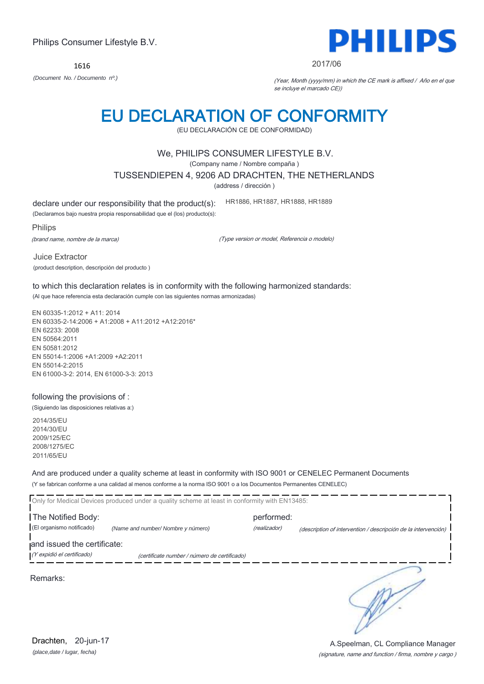*(place,date / lugar, fecha)* Drachten, 20-jun-17

# Philips Consumer Lifestyle B.V.

1616 *(Document No. / Documento nº.)* (Year, Month (yyyy/mm) in which the CE mark is affixed / Año en el que

# se incluye el marcado CE))

# EU DECLARATION OF CONFORMITY

(EU DECLARACIÓN CE DE CONFORMIDAD)

# We, PHILIPS CONSUMER LIFESTYLE B.V.

(Company name / Nombre compaña )

TUSSENDIEPEN 4, 9206 AD DRACHTEN, THE NETHERLANDS

(address / dirección )

declare under our responsibility that the product(s):

(Declaramos bajo nuestra propia responsabilidad que el (los) producto(s):

Philips

(brand name, nombre de la marca)

(Type version or model, Referencia o modelo)

HR1886, HR1887, HR1888, HR1889

(product description, descripción del producto )

to which this declaration relates is in conformity with the following harmonized standards: (Al que hace referencia esta declaración cumple con las siguientes normas armonizadas)

EN 60335-1:2012 + A11: 2014 EN 60335-2-14:2006 + A1:2008 + A11:2012 +A12:2016\* EN 62233: 2008 EN 50564:2011 EN 50581:2012 EN 55014-1:2006 +A1:2009 +A2:2011 EN 55014-2:2015 EN 61000-3-2: 2014, EN 61000-3-3: 2013

## following the provisions of :

(Siguiendo las disposiciones relativas a:)

2014/35/EU 2014/30/EU 2009/125/EC 2008/1275/EC 2011/65/EU

And are produced under a quality scheme at least in conformity with ISO 9001 or CENELEC Permanent Documents (Y se fabrican conforme a una calidad al menos conforme a la norma ISO 9001 o a los Documentos Permanentes CENELEC)

\_ \_\_ \_\_ \_\_ \_\_ \_\_ \_\_

|                             | Only for Medical Devices produced under a quality scheme at least in conformity with EN13485: |              |                                                                |
|-----------------------------|-----------------------------------------------------------------------------------------------|--------------|----------------------------------------------------------------|
| The Notified Body:          |                                                                                               | performed:   |                                                                |
| (El organismo notificado)   | (Name and number/ Nombre y número)                                                            | (realizador) | (description of intervention / descripción de la intervención) |
| and issued the certificate: |                                                                                               |              |                                                                |
| (Y expidió el certificado)  | (certificate number / número de certificado)                                                  |              |                                                                |
|                             |                                                                                               |              |                                                                |

Remarks:



#### 2017/06

Juice Extractor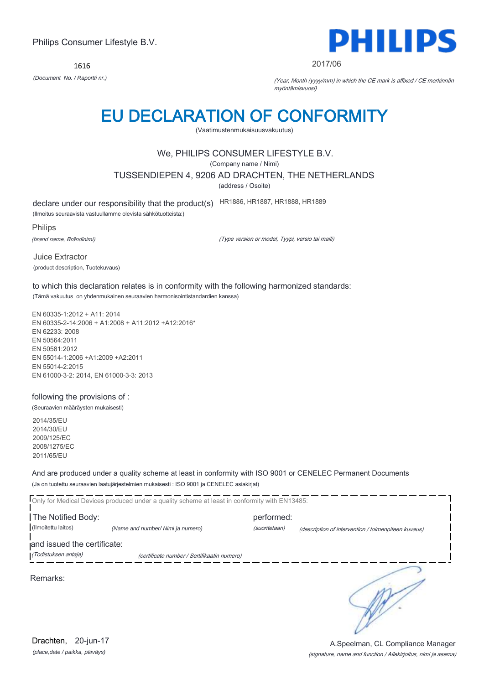1616



2017/06

*(Document No. / Raportti nr.)* (Year, Month (yyyy/mm) in which the CE mark is affixed / CE merkinnän myöntämisvuosi)

# EU DECLARATION OF CONFORMITY

(Vaatimustenmukaisuusvakuutus)

# We, PHILIPS CONSUMER LIFESTYLE B.V.

(Company name / Nimi)

TUSSENDIEPEN 4, 9206 AD DRACHTEN, THE NETHERLANDS

(address / Osoite)

declare under our responsibility that the product(s) HR1886, HR1887, HR1888, HR1889

(Ilmoitus seuraavista vastuullamme olevista sähkötuotteista:)

Philips

(brand name, Brändinimi)

(Type version or model, Tyypi, versio tai malli)

Juice Extractor (product description, Tuotekuvaus)

to which this declaration relates is in conformity with the following harmonized standards: (Tämä vakuutus on yhdenmukainen seuraavien harmonisointistandardien kanssa)

EN 60335-1:2012 + A11: 2014 EN 60335-2-14:2006 + A1:2008 + A11:2012 +A12:2016\* EN 62233: 2008 EN 50564:2011 EN 50581:2012 EN 55014-1:2006 +A1:2009 +A2:2011 EN 55014-2:2015 EN 61000-3-2: 2014, EN 61000-3-3: 2013

## following the provisions of :

(Seuraavien määräysten mukaisesti)

2014/35/EU 2014/30/EU 2009/125/EC 2008/1275/EC 2011/65/EU

And are produced under a quality scheme at least in conformity with ISO 9001 or CENELEC Permanent Documents (Ja on tuotettu seuraavien laatujärjestelmien mukaisesti : ISO 9001 ja CENELEC asiakirjat)

|                                                     | Only for Medical Devices produced under a quality scheme at least in conformity with EN13485: |                             |                                                     |
|-----------------------------------------------------|-----------------------------------------------------------------------------------------------|-----------------------------|-----------------------------------------------------|
| The Notified Body:<br>(Ilmoitettu laitos)           | (Name and number/ Nimi ja numero)                                                             | performed:<br>(suoritetaan) | (description of intervention / toimenpiteen kuvaus) |
| and issued the certificate:<br>(Todistuksen antaja) | (certificate number / Sertifikaatin numero)                                                   |                             |                                                     |
| Remarks:                                            |                                                                                               |                             |                                                     |

*(place,date / paikka, päiväys)* Drachten, 20-jun-17

### (signature, name and function / Allekirjoitus, nimi ja asema) A.Speelman, CL Compliance Manager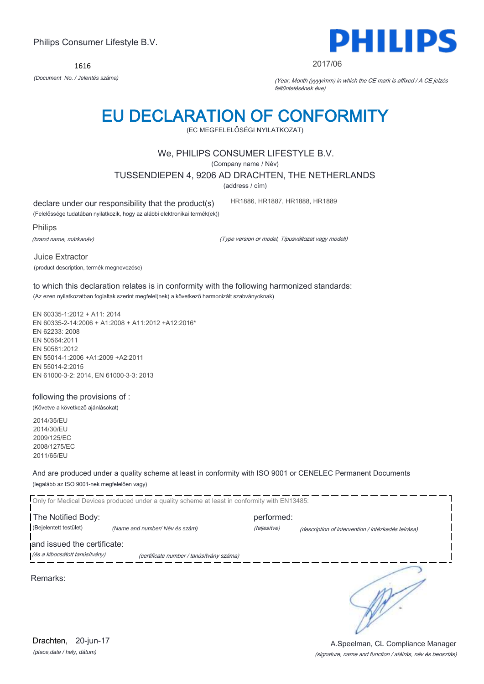We, PHILIPS CONSUMER LIFESTYLE B.V.

EU DECLARATION OF CONFORMITY (EC MEGFELELŐSÉGI NYILATKOZAT)

(Company name / Név)

TUSSENDIEPEN 4, 9206 AD DRACHTEN, THE NETHERLANDS

(address / cím)

declare under our responsibility that the product(s)

(Felelőssége tudatában nyilatkozik, hogy az alábbi elektronikai termék(ek))

Philips

(brand name, márkanév)

(Type version or model, Típusváltozat vagy modell)

HR1886, HR1887, HR1888, HR1889

Juice Extractor (product description, termék megnevezése)

to which this declaration relates is in conformity with the following harmonized standards: (Az ezen nyilatkozatban foglaltak szerint megfelel(nek) a következő harmonizált szabványoknak)

EN 60335-1:2012 + A11: 2014 EN 60335-2-14:2006 + A1:2008 + A11:2012 +A12:2016\* EN 62233: 2008 EN 50564:2011 EN 50581:2012 EN 55014-1:2006 +A1:2009 +A2:2011 EN 55014-2:2015 EN 61000-3-2: 2014, EN 61000-3-3: 2013

### following the provisions of :

(Követve a következő ajánlásokat)

2014/35/EU 2014/30/EU 2009/125/EC 2008/1275/EC 2011/65/EU

And are produced under a quality scheme at least in conformity with ISO 9001 or CENELEC Permanent Documents (legalább az ISO 9001-nek megfelelően vagy)

|                                                               | Only for Medical Devices produced under a quality scheme at least in conformity with EN13485: |                            |                                                    |
|---------------------------------------------------------------|-----------------------------------------------------------------------------------------------|----------------------------|----------------------------------------------------|
| The Notified Body:<br>(Bejelentett testület)                  | (Name and number/Név és szám)                                                                 | performed:<br>(teljesítve) | (description of intervention / intézkedés leírása) |
| and issued the certificate:<br>(és a kibocsátott tanúsítvány) | (certificate number / tanúsítvány száma)                                                      |                            |                                                    |
| Remarks:                                                      |                                                                                               |                            |                                                    |

2017/06

*(Document No. / Jelentés száma)* (Year, Month (yyyy/mm) in which the CE mark is affixed / A CE jelzés feltüntetésének éve)

1616



(signature, name and function / aláírás, név és beosztás)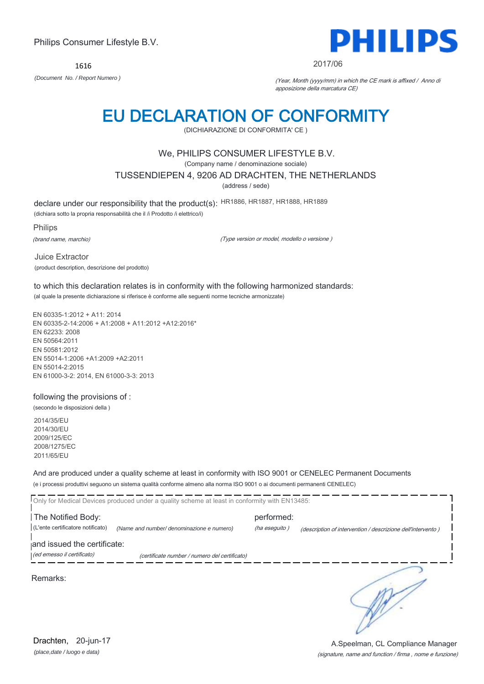1616



#### 2017/06

*(Document No. / Report Numero )* (Year, Month (yyyy/mm) in which the CE mark is affixed / Anno di apposizione della marcatura CE)

# EU DECLARATION OF CONFORMITY

(DICHIARAZIONE DI CONFORMITA' CE )

## We, PHILIPS CONSUMER LIFESTYLE B.V.

(Company name / denominazione sociale)

TUSSENDIEPEN 4, 9206 AD DRACHTEN, THE NETHERLANDS

(address / sede)

declare under our responsibility that the product(s): HR1886, HR1887, HR1888, HR1889

(dichiara sotto la propria responsabilità che il /i Prodotto /i elettrico/i)

Philips

(brand name, marchio)

(Type version or model, modello o versione )

Juice Extractor (product description, descrizione del prodotto)

to which this declaration relates is in conformity with the following harmonized standards: (al quale la presente dichiarazione si riferisce è conforme alle seguenti norme tecniche armonizzate)

EN 60335-1:2012 + A11: 2014 EN 60335-2-14:2006 + A1:2008 + A11:2012 +A12:2016\* EN 62233: 2008 EN 50564:2011 EN 50581:2012 EN 55014-1:2006 +A1:2009 +A2:2011 EN 55014-2:2015 EN 61000-3-2: 2014, EN 61000-3-3: 2013

## following the provisions of :

(secondo le disposizioni della )

2014/35/EU 2014/30/EU 2009/125/EC 2008/1275/EC 2011/65/EU

And are produced under a quality scheme at least in conformity with ISO 9001 or CENELEC Permanent Documents (e i processi produttivi seguono un sistema qualità conforme almeno alla norma ISO 9001 o ai documenti permanenti CENELEC)

|                                                           | Only for Medical Devices produced under a quality scheme at least in conformity with EN13485: |                             |                                                             |
|-----------------------------------------------------------|-----------------------------------------------------------------------------------------------|-----------------------------|-------------------------------------------------------------|
| The Notified Body:<br>(L'ente certificatore notificato)   | (Name and number/ denominazione e numero)                                                     | performed:<br>(ha eseguito) | (description of intervention / descrizione dell'intervento) |
| and issued the certificate:<br>(ed emesso il certificato) | (certificate number / numero del certificato)                                                 |                             |                                                             |
| Remarks:                                                  |                                                                                               |                             |                                                             |

*(place,date / luogo e data)* Drachten, 20-jun-17

### (signature, name and function / firma , nome e funzione) A.Speelman, CL Compliance Manager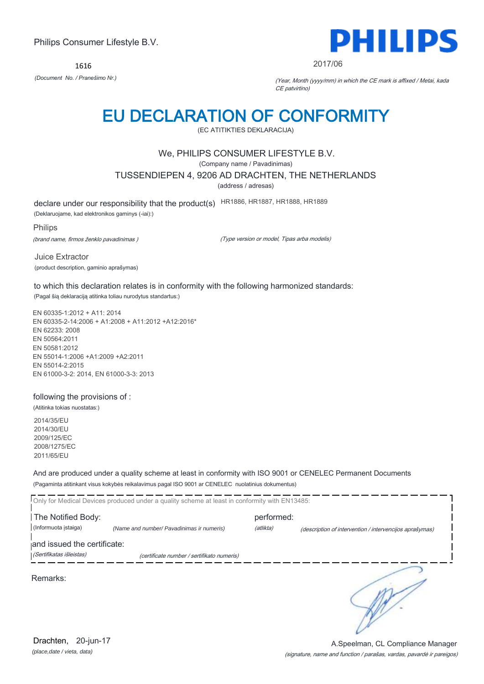1616



2017/06

*(Document No. / Pranešimo Nr.)* (Year, Month (yyyy/mm) in which the CE mark is affixed / Metai, kada CE patvirtino)

# EU DECLARATION OF CONFORMITY

(EC ATITIKTIES DEKLARACIJA)

## We, PHILIPS CONSUMER LIFESTYLE B.V.

(Company name / Pavadinimas)

TUSSENDIEPEN 4, 9206 AD DRACHTEN, THE NETHERLANDS

(address / adresas)

declare under our responsibility that the product(s) HR1886, HR1887, HR1888, HR1889

(Deklaruojame, kad elektronikos gaminys (-iai):)

Philips

(brand name, firmos ženklo pavadinimas )

(Type version or model, Tipas arba modelis)

Juice Extractor (product description, gaminio aprašymas)

to which this declaration relates is in conformity with the following harmonized standards:

(Pagal šią deklaraciją atitinka toliau nurodytus standartus:)

EN 60335-1:2012 + A11: 2014 EN 60335-2-14:2006 + A1:2008 + A11:2012 +A12:2016\* EN 62233: 2008 EN 50564:2011 EN 50581:2012 EN 55014-1:2006 +A1:2009 +A2:2011 EN 55014-2:2015 EN 61000-3-2: 2014, EN 61000-3-3: 2013

## following the provisions of :

(Atitinka tokias nuostatas:)

2014/35/EU 2014/30/EU 2009/125/EC 2008/1275/EC 2011/65/EU

And are produced under a quality scheme at least in conformity with ISO 9001 or CENELEC Permanent Documents (Pagaminta atitinkant visus kokybės reikalavimus pagal ISO 9001 ar CENELEC nuolatinius dokumentus)

|                             | Only for Medical Devices produced under a quality scheme at least in conformity with EN13485: |            |                                                         |
|-----------------------------|-----------------------------------------------------------------------------------------------|------------|---------------------------------------------------------|
| The Notified Body:          |                                                                                               | performed: |                                                         |
| (Informuota istaiga)        | (Name and number/ Pavadinimas ir numeris)                                                     | (atlikta)  | (description of intervention / intervencijos aprašymas) |
| and issued the certificate: |                                                                                               |            |                                                         |
| (Sertifikatas išleistas)    | (certificate number / sertifikato numeris)                                                    |            |                                                         |
| Remarks:                    |                                                                                               |            |                                                         |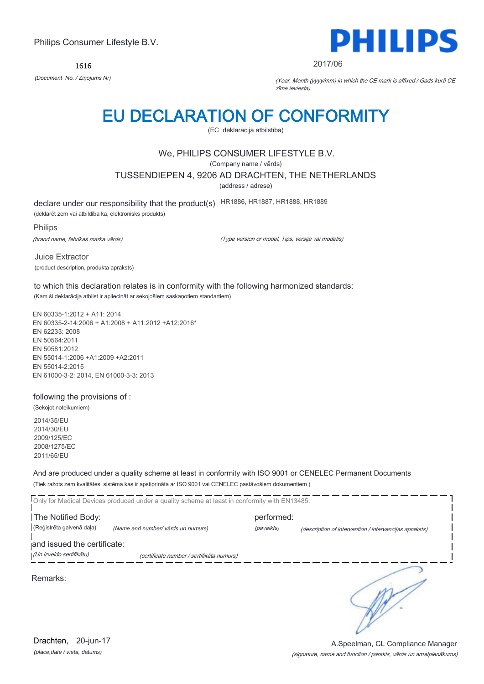1616



#### 2017/06

*(Document No. / Ziņojums Nr)* (Year, Month (yyyy/mm) in which the CE mark is affixed / Gads kurā CE zīme ieviesta)

# EU DECLARATION OF CONFORMITY

(EC deklarācija atbilstība)

## We, PHILIPS CONSUMER LIFESTYLE B.V.

(Company name / vārds)

TUSSENDIEPEN 4, 9206 AD DRACHTEN, THE NETHERLANDS

(address / adrese)

declare under our responsibility that the product(s) HR1886, HR1887, HR1888, HR1889

(deklarēt zem vai atbildība ka, elektronisks produkts)

Philips

(brand name, fabrikas marka vārds)

(Type version or model, Tips, versija vai modelis)

Juice Extractor (product description, produkta apraksts)

to which this declaration relates is in conformity with the following harmonized standards: (Kam ši deklarācija atbilst ir apliecināt ar sekojošiem saskaņotiem standartiem)

EN 60335-1:2012 + A11: 2014 EN 60335-2-14:2006 + A1:2008 + A11:2012 +A12:2016\* EN 62233: 2008 EN 50564:2011 EN 50581:2012 EN 55014-1:2006 +A1:2009 +A2:2011 EN 55014-2:2015 EN 61000-3-2: 2014, EN 61000-3-3: 2013

### following the provisions of :

(Sekojot noteikumiem) 2014/35/EU 2014/30/EU 2009/125/EC

2008/1275/EC 2011/65/EU

And are produced under a quality scheme at least in conformity with ISO 9001 or CENELEC Permanent Documents (Tiek ražots zem kvalitātes sistēma kas ir apstiprināta ar ISO 9001 vai CENELEC pastāvošiem dokumentiem )

Г Only for Medical Devices produced under a quality scheme at least in conformity with EN13485: The Notified Body: performed: (Reģistrēta galvenā daļa) *(Name and number/ vārds un numurs)* (paveikts) (description of intervention / intervencijas apraksts) and issued the certificate: (Un izveido sertifikātu) (certificate number / sertifikāta numurs) ∋ Remarks:

*(place,date / vieta, datums)* Drachten, 20-jun-17

#### (signature, name and function / parskts, vārds un amatpienākums) A.Speelman, CL Compliance Manager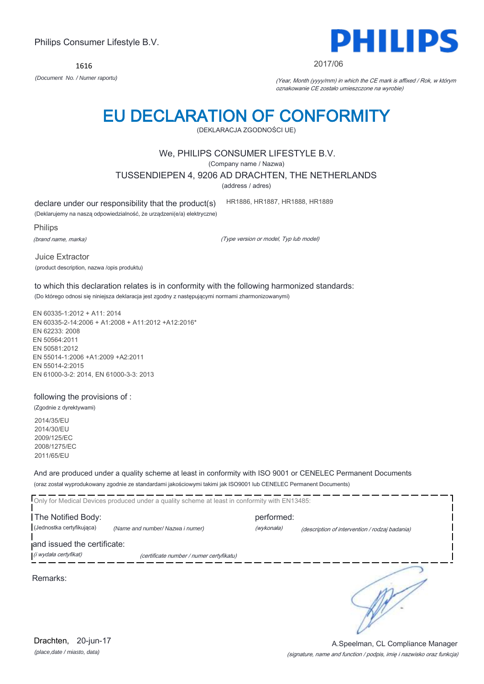1616



#### 2017/06

*(Document No. / Numer raportu)* (Year, Month (yyyy/mm) in which the CE mark is affixed / Rok, w którym oznakowanie CE zostało umieszczone na wyrobie)

# EU DECLARATION OF CONFORMITY

(DEKLARACJA ZGODNOŚCI UE)

## We, PHILIPS CONSUMER LIFESTYLE B.V.

(Company name / Nazwa)

TUSSENDIEPEN 4, 9206 AD DRACHTEN, THE NETHERLANDS

(address / adres)

declare under our responsibility that the product(s)

(Deklarujemy na naszą odpowiedzialność, że urządzeni(e/a) elektryczne)

Philips

(brand name, marka)

(Type version or model, Typ lub model)

HR1886, HR1887, HR1888, HR1889

Juice Extractor (product description, nazwa /opis produktu)

to which this declaration relates is in conformity with the following harmonized standards: (Do którego odnosi się niniejsza deklaracja jest zgodny z następującymi normami zharmonizowanymi)

EN 60335-1:2012 + A11: 2014 EN 60335-2-14:2006 + A1:2008 + A11:2012 +A12:2016\* EN 62233: 2008 EN 50564:2011 EN 50581:2012 EN 55014-1:2006 +A1:2009 +A2:2011 EN 55014-2:2015 EN 61000-3-2: 2014, EN 61000-3-3: 2013

## following the provisions of :

(Zgodnie z dyrektywami) 2014/35/EU 2014/30/EU 2009/125/EC 2008/1275/EC 2011/65/EU

And are produced under a quality scheme at least in conformity with ISO 9001 or CENELEC Permanent Documents (oraz został wyprodukowany zgodnie ze standardami jakościowymi takimi jak ISO9001 lub CENELEC Permanent Documents)

|                             | Only for Medical Devices produced under a quality scheme at least in conformity with EN13485: |            |                                                |  |
|-----------------------------|-----------------------------------------------------------------------------------------------|------------|------------------------------------------------|--|
| The Notified Body:          |                                                                                               | performed: |                                                |  |
| (Jednostka certyfikująca)   | (Name and number/ Nazwa i numer)                                                              | (wykonała) | (description of intervention / rodzaj badania) |  |
| and issued the certificate: |                                                                                               |            |                                                |  |
| (i wydała certyfikat)       | (certificate number / numer certyfikatu)                                                      |            |                                                |  |
| Remarks:                    |                                                                                               |            |                                                |  |

*(place,date / miasto, data)* Drachten, 20-jun-17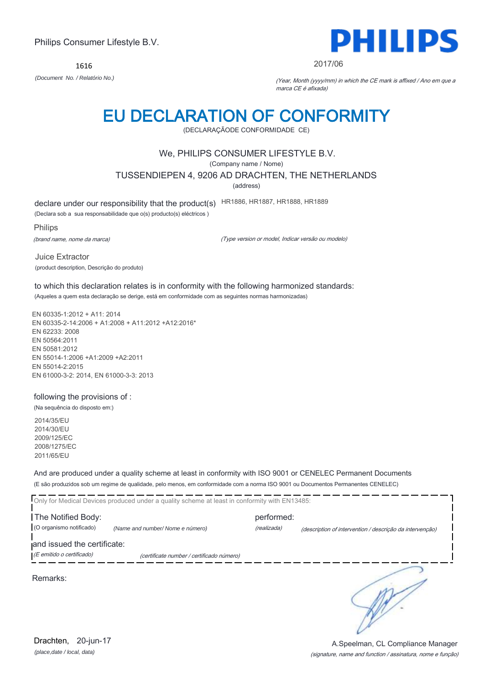1616



#### 2017/06

*(Document No. / Relatório No.)* (Year, Month (yyyy/mm) in which the CE mark is affixed / Ano em que a marca CE é afixada)

# EU DECLARATION OF CONFORMITY

(DECLARAÇÃODE CONFORMIDADE CE)

## We, PHILIPS CONSUMER LIFESTYLE B.V.

(Company name / Nome)

TUSSENDIEPEN 4, 9206 AD DRACHTEN, THE NETHERLANDS

(address)

declare under our responsibility that the product(s) HR1886, HR1887, HR1888, HR1889

(Declara sob a sua responsabilidade que o(s) producto(s) eléctricos )

Philips

(brand name, nome da marca)

(Type version or model, Indicar versão ou modelo)

Juice Extractor (product description, Descrição do produto)

to which this declaration relates is in conformity with the following harmonized standards: (Aqueles a quem esta declaração se derige, está em conformidade com as seguintes normas harmonizadas)

EN 60335-1:2012 + A11: 2014 EN 60335-2-14:2006 + A1:2008 + A11:2012 +A12:2016\* EN 62233: 2008 EN 50564:2011 EN 50581:2012 EN 55014-1:2006 +A1:2009 +A2:2011 EN 55014-2:2015 EN 61000-3-2: 2014, EN 61000-3-3: 2013

## following the provisions of :

(Na sequência do disposto em:)

2014/35/EU 2014/30/EU 2009/125/EC 2008/1275/EC 2011/65/EU

And are produced under a quality scheme at least in conformity with ISO 9001 or CENELEC Permanent Documents (E são produzidos sob um regime de qualidade, pelo menos, em conformidade com a norma ISO 9001 ou Documentos Permanentes CENELEC)

|                             | Only for Medical Devices produced under a quality scheme at least in conformity with EN13485: |             |                                                          |  |
|-----------------------------|-----------------------------------------------------------------------------------------------|-------------|----------------------------------------------------------|--|
| The Notified Body:          |                                                                                               | performed:  |                                                          |  |
| (O organismo notificado)    | (Name and number/ Nome e número)                                                              | (realizada) | (description of intervention / descrição da intervenção) |  |
| and issued the certificate: |                                                                                               |             |                                                          |  |
| (E emitido o certificado)   | (certificate number / certificado número)                                                     |             |                                                          |  |
| Remarks:                    |                                                                                               |             |                                                          |  |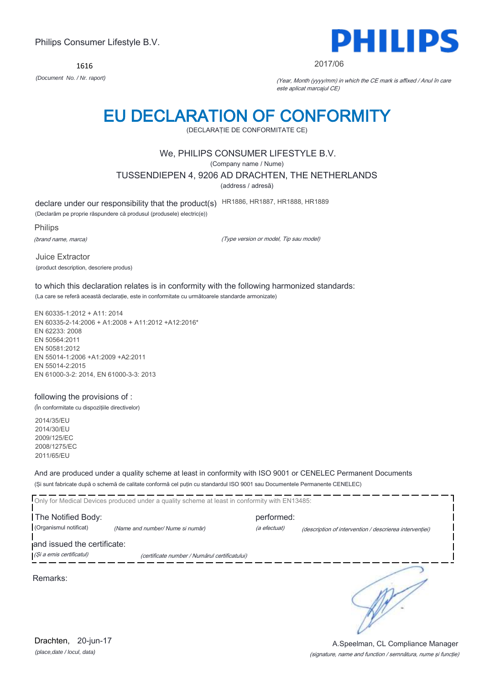1616



#### 2017/06

*(Document No. / Nr. raport)* (Year, Month (yyyy/mm) in which the CE mark is affixed / Anul în care este aplicat marcajul CE)

# EU DECLARATION OF CONFORMITY

(DECLARAŢIE DE CONFORMITATE CE)

## We, PHILIPS CONSUMER LIFESTYLE B.V.

(Company name / Nume)

TUSSENDIEPEN 4, 9206 AD DRACHTEN, THE NETHERLANDS

(address / adresă)

declare under our responsibility that the product(s) HR1886, HR1887, HR1888, HR1889

(Declarăm pe proprie răspundere că produsul (produsele) electric(e))

Philips

(brand name, marca)

(Type version or model, Tip sau model)

Juice Extractor (product description, descriere produs)

to which this declaration relates is in conformity with the following harmonized standards: (La care se referă această declaraţie, este in conformitate cu următoarele standarde armonizate)

EN 60335-1:2012 + A11: 2014 EN 60335-2-14:2006 + A1:2008 + A11:2012 +A12:2016\* EN 62233: 2008 EN 50564:2011 EN 50581:2012 EN 55014-1:2006 +A1:2009 +A2:2011 EN 55014-2:2015 EN 61000-3-2: 2014, EN 61000-3-3: 2013

## following the provisions of :

(În conformitate cu dispoziţiile directivelor)

2014/35/EU 2014/30/EU 2009/125/EC 2008/1275/EC 2011/65/EU

And are produced under a quality scheme at least in conformity with ISO 9001 or CENELEC Permanent Documents (Şi sunt fabricate după o schemă de calitate conformă cel puţin cu standardul ISO 9001 sau Documentele Permanente CENELEC)

|                                                         | Only for Medical Devices produced under a quality scheme at least in conformity with EN13485: |                            |                                                         |
|---------------------------------------------------------|-----------------------------------------------------------------------------------------------|----------------------------|---------------------------------------------------------|
| The Notified Body:<br>(Organismul notificat)            | (Name and number/ Nume si număr)                                                              | performed:<br>(a efectuat) | (description of intervention / descrierea interventiei) |
| and issued the certificate:<br>(Și a emis certificatul) | (certificate number / Numărul certificatului)                                                 |                            |                                                         |

Remarks:

**RAY**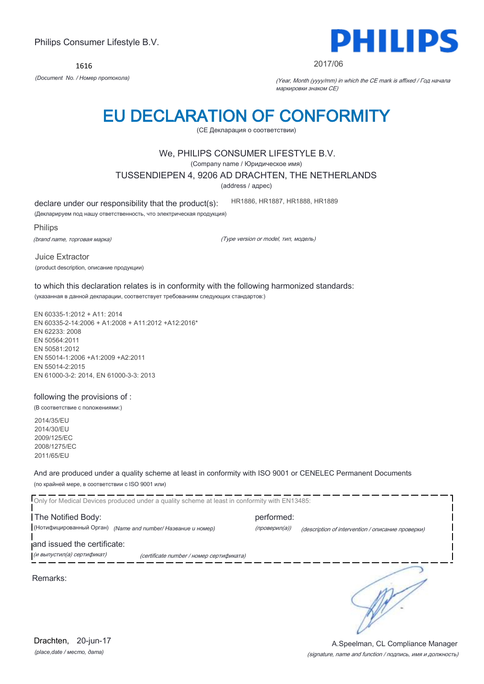1616



#### 2017/06

*(Document No. / Номер протокола)* (Year, Month (yyyy/mm) in which the CE mark is affixed / Год начала маркировки знаком CE)

# EU DECLARATION OF CONFORMITY

(CE Декларация о соответствии)

## We, PHILIPS CONSUMER LIFESTYLE B.V.

(Company name / Юридическое имя)

TUSSENDIEPEN 4, 9206 AD DRACHTEN, THE NETHERLANDS

(address / адрес)

declare under our responsibility that the product(s):

(Декларируем под нашу ответственность, что электрическая продукция)

Philips

(brand name, торговая марка)

(Type version or model, тип, модель)

HR1886, HR1887, HR1888, HR1889

Juice Extractor (product description, описание продукции)

to which this declaration relates is in conformity with the following harmonized standards: (указанная в данной декларации, соответствует требованиям следующих стандартов:)

EN 60335-1:2012 + A11: 2014 EN 60335-2-14:2006 + A1:2008 + A11:2012 +A12:2016\* EN 62233: 2008 EN 50564:2011 EN 50581:2012 EN 55014-1:2006 +A1:2009 +A2:2011 EN 55014-2:2015 EN 61000-3-2: 2014, EN 61000-3-3: 2013

## following the provisions of :

(В соответствие с положениями:)

2014/35/EU 2014/30/EU 2009/125/EC 2008/1275/EC 2011/65/EU

And are produced under a quality scheme at least in conformity with ISO 9001 or CENELEC Permanent Documents (по крайней мере, в соответствии с ISO 9001 или)

Only for Medical Devices produced under a quality scheme at least in conformity with EN13485: The Notified Body: example and the performed: (Нотифицированный Орган) *(Name and number/ Название и номер)* (проверил(а)) (description of intervention / описание проверки) and issued the certificate: **.**<br>При выпустил(а) сертификат) при сеrtificate number / номер сертификата) ∍ Remarks: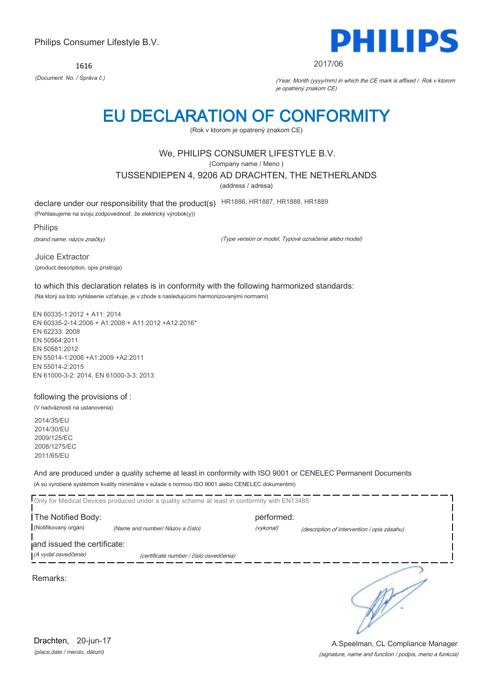1616



#### 2017/06

*(Document No. / Správa č.)* (Year, Month (yyyy/mm) in which the CE mark is affixed / Rok v ktorom je opatrený znakom CE)

# EU DECLARATION OF CONFORMITY

(Rok v ktorom je opatrený znakom CE)

## We, PHILIPS CONSUMER LIFESTYLE B.V.

(Company name / Meno )

TUSSENDIEPEN 4, 9206 AD DRACHTEN, THE NETHERLANDS

(address / adresa)

declare under our responsibility that the product(s) HR1886, HR1887, HR1888, HR1889

(Prehlasujeme na svoju zodpovednosť, že elektrický výrobok(y))

Philips

(brand name, názov značky)

(Type version or model, Typové označenie alebo model)

Juice Extractor (product description, opis prístroja)

to which this declaration relates is in conformity with the following harmonized standards: (Na ktorý sa toto vyhlásenie vzťahuje, je v zhode s nasledujúcimi harmonizovanými normami)

EN 60335-1:2012 + A11: 2014 EN 60335-2-14:2006 + A1:2008 + A11:2012 +A12:2016\* EN 62233: 2008 EN 50564:2011 EN 50581:2012 EN 55014-1:2006 +A1:2009 +A2:2011 EN 55014-2:2015 EN 61000-3-2: 2014, EN 61000-3-3: 2013

## following the provisions of :

(V nadväznosti na ustanovenia)

2014/35/EU 2014/30/EU 2009/125/EC 2008/1275/EC 2011/65/EU

And are produced under a quality scheme at least in conformity with ISO 9001 or CENELEC Permanent Documents (A sú vyrobené systémom kvality minimálne v súlade s normou ISO 9001 alebo CENELEC dokumentmi)

Only for Medical Devices produced under a quality scheme at least in conformity with EN13485: The Notified Body: example and the performed: (Notifikovaný orgán) *(Name and number/ Názov a číslo)* (vykonal) (description of intervention / opis zásahu) and issued the certificate: (A vydal osvedčenie) (certificate number / číslo osvedčenia) ∍ Remarks:

*(place,date / miesto, dátum)* Drachten, 20-jun-17

### (signature, name and function / podpis, meno a funkcia) A.Speelman, CL Compliance Manager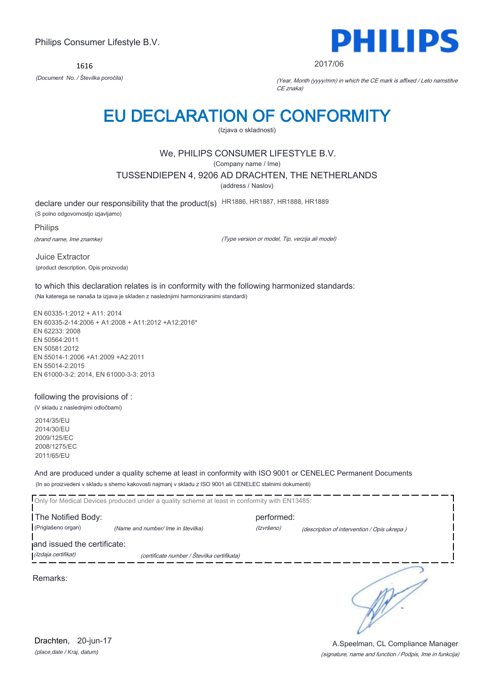1616



2017/06

*(Document No. / Številka poročila)* (Year, Month (yyyy/mm) in which the CE mark is affixed / Leto namstitve CE znaka)

# EU DECLARATION OF CONFORMITY

(Izjava o skladnosti)

# We, PHILIPS CONSUMER LIFESTYLE B.V.

(Company name / Ime)

TUSSENDIEPEN 4, 9206 AD DRACHTEN, THE NETHERLANDS

(address / Naslov)

declare under our responsibility that the product(s) HR1886, HR1887, HR1888, HR1889

(S polno odgovornostjo izjavljamo)

Philips

(brand name, Ime znamke)

(Type version or model, Tip, verzija ali model)

Juice Extractor (product description, Opis proizvoda)

to which this declaration relates is in conformity with the following harmonized standards: (Na katerega se nanaša ta izjava je skladen z naslednjimi harmoniziranimi standardi)

EN 60335-1:2012 + A11: 2014 EN 60335-2-14:2006 + A1:2008 + A11:2012 +A12:2016\* EN 62233: 2008 EN 50564:2011 EN 50581:2012 EN 55014-1:2006 +A1:2009 +A2:2011 EN 55014-2:2015 EN 61000-3-2: 2014, EN 61000-3-3: 2013

## following the provisions of :

(V skladu z naslednjimi odločbami)

2014/35/EU 2014/30/EU 2009/125/EC 2008/1275/EC 2011/65/EU

And are produced under a quality scheme at least in conformity with ISO 9001 or CENELEC Permanent Documents (In so proizvedeni v skladu s shemo kakovosti najmanj v skladu z ISO 9001 ali CENELEC stalnimi dokumenti)

|                             | Only for Medical Devices produced under a quality scheme at least in conformity with EN13485: |            |                                             |
|-----------------------------|-----------------------------------------------------------------------------------------------|------------|---------------------------------------------|
| The Notified Body:          |                                                                                               | performed: |                                             |
| (Priglašeno organ)          | (Name and number/ Ime in številka)                                                            | (Izvršeno) | (description of intervention / Opis ukrepa) |
| and issued the certificate: |                                                                                               |            |                                             |
| (Izdaja certifikat)         | (certificate number / Številka certifikata)                                                   |            |                                             |
| Remarks:                    |                                                                                               |            |                                             |

A.Speelman, CL Compliance Manager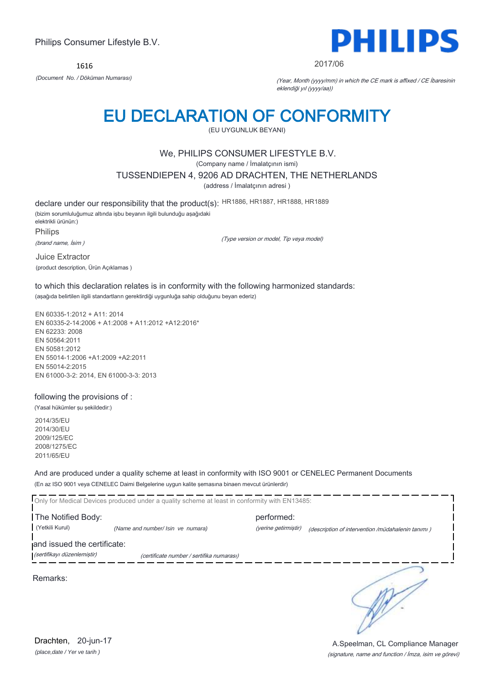1616



#### 2017/06

*(Document No. / Döküman Numarası)* (Year, Month (yyyy/mm) in which the CE mark is affixed / CE İbaresinin eklendiği yıl (yyyy/aa))

# EU DECLARATION OF CONFORMITY

(EU UYGUNLUK BEYANI)

## We, PHILIPS CONSUMER LIFESTYLE B.V.

(Company name / İmalatçının ismi)

TUSSENDIEPEN 4, 9206 AD DRACHTEN, THE NETHERLANDS

(address / İmalatçının adresi )

declare under our responsibility that the product(s): HR1886, HR1887, HR1888, HR1889

(bizim sorumluluğumuz altında işbu beyanın ilgili bulunduğu aşağıdaki elektrikli ürünün:) Philips

(brand name, İsim )

(Type version or model, Tip veya model)

Juice Extractor (product description, Ürün Açıklamas )

to which this declaration relates is in conformity with the following harmonized standards: (aşağıda belirtilen ilgili standartların gerektirdiği uygunluğa sahip olduğunu beyan ederiz)

EN 60335-1:2012 + A11: 2014 EN 60335-2-14:2006 + A1:2008 + A11:2012 +A12:2016\* EN 62233: 2008 EN 50564:2011 EN 50581:2012 EN 55014-1:2006 +A1:2009 +A2:2011 EN 55014-2:2015 EN 61000-3-2: 2014, EN 61000-3-3: 2013

## following the provisions of :

(Yasal hükümler şu şekildedir:)

2014/35/EU 2014/30/EU 2009/125/EC 2008/1275/EC 2011/65/EU

And are produced under a quality scheme at least in conformity with ISO 9001 or CENELEC Permanent Documents (En az ISO 9001 veya CENELEC Daimi Belgelerine uygun kalite şemasına binaen mevcut ürünlerdir)

Only for Medical Devices produced under a quality scheme at least in conformity with EN13485: The Notified Body: performed:

(Yetkili Kurul) *(Name and number/ Isin ve numara)* (yerine getirmiştir) (description of intervention /müdahalenin tanımı )

and issued the certificate:

(sertifikayı düzenlemiştir) (certificate number / sertifika numarası)

Remarks:

*(place,date / Yer ve tarih )* Drachten, 20-jun-17

(signature, name and function / İmza, isim ve görevi) A.Speelman, CL Compliance Manager

∋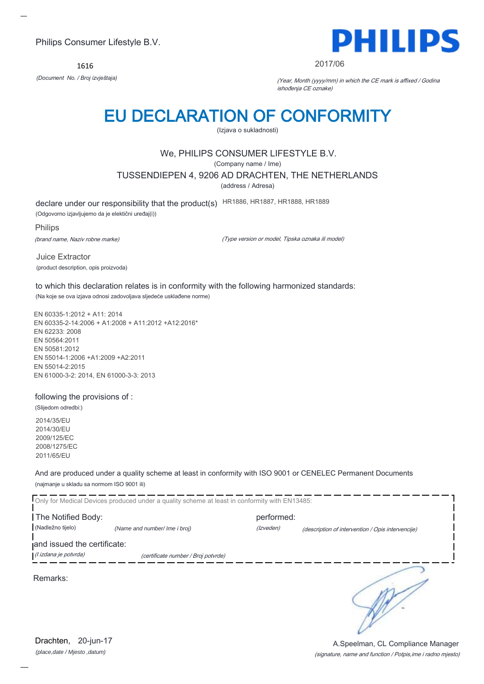1616



#### 2017/06

*(Document No. / Broj izvještaja)* (Year, Month (yyyy/mm) in which the CE mark is affixed / Godina ishođenja CE oznake)

# EU DECLARATION OF CONFORMITY

(Izjava o sukladnosti)

## We, PHILIPS CONSUMER LIFESTYLE B.V.

(Company name / Ime)

TUSSENDIEPEN 4, 9206 AD DRACHTEN, THE NETHERLANDS

(address / Adresa)

declare under our responsibility that the product(s) HR1886, HR1887, HR1888, HR1889

(Odgovorno izjavljujemo da je elektični uređaj(i))

#### Philips

(brand name, Naziv robne marke)

(Type version or model, Tipska oznaka ili model)

Juice Extractor (product description, opis proizvoda)

to which this declaration relates is in conformity with the following harmonized standards: (Na koje se ova izjava odnosi zadovoljava sljedeće usklađene norme)

EN 60335-1:2012 + A11: 2014 EN 60335-2-14:2006 + A1:2008 + A11:2012 +A12:2016\* EN 62233: 2008 EN 50564:2011 EN 50581:2012 EN 55014-1:2006 +A1:2009 +A2:2011 EN 55014-2:2015 EN 61000-3-2: 2014, EN 61000-3-3: 2013

## following the provisions of :

(Slijedom odredbi:) 2014/35/EU 2014/30/EU

2009/125/EC 2008/1275/EC 2011/65/EU

And are produced under a quality scheme at least in conformity with ISO 9001 or CENELEC Permanent Documents (najmanje u skladu sa normom ISO 9001 ili)

|                             | Only for Medical Devices produced under a quality scheme at least in conformity with EN13485: |            |                                                   |
|-----------------------------|-----------------------------------------------------------------------------------------------|------------|---------------------------------------------------|
| The Notified Body:          |                                                                                               | performed: |                                                   |
| (Nadležno tijelo)           | (Name and number/ Ime i broj)                                                                 | (Izveden)  | (description of intervention / Opis intervencije) |
| and issued the certificate: |                                                                                               |            |                                                   |
| (l izdana je potvrda)       | (certificate number / Broj potvrde)                                                           |            |                                                   |
| Remarks:                    |                                                                                               |            |                                                   |

*(place,date / Mjesto ,datum)* Drachten, 20-jun-17

### (signature, name and function / Potpis,ime i radno mjesto) A.Speelman, CL Compliance Manager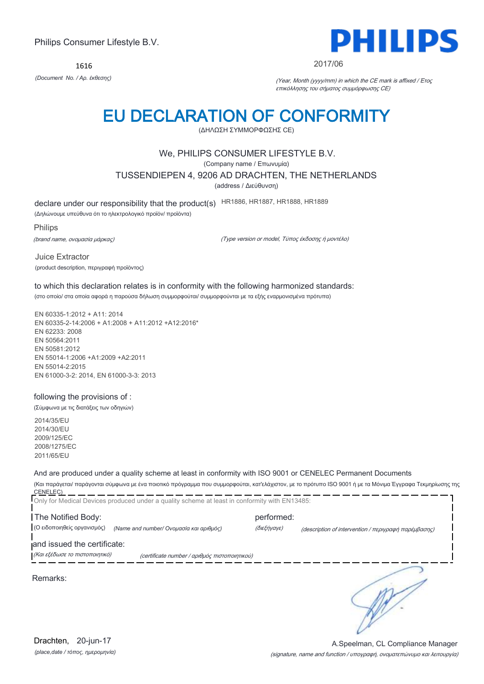1616



#### 2017/06

*(Document No. / Αρ. έκθεσης)* (Year, Month (yyyy/mm) in which the CE mark is affixed / Έτος επικόλλησης του σήματος συμμόρφωσης CE)

# EU DECLARATION OF CONFORMITY

(ΔΗΛΩΣΗ ΣΥΜΜΟΡΦΩΣΗΣ CE)

## We, PHILIPS CONSUMER LIFESTYLE B.V.

(Company name / Επωνυμία)

TUSSENDIEPEN 4, 9206 AD DRACHTEN, THE NETHERLANDS

(address / Διεύθυνση)

declare under our responsibility that the product(s) HR1886, HR1887, HR1888, HR1889

(Δηλώνουμε υπεύθυνα ότι το ηλεκτρολογικό προϊόν/ προϊόντα)

Philips

(brand name, ονομασία μάρκας)

(Type version or model, Τύπος έκδοσης ή μοντέλο)

Juice Extractor (product description, περιγραφή προϊόντος)

### to which this declaration relates is in conformity with the following harmonized standards: (στο οποίο/ στα οποία αφορά η παρούσα δήλωση συμμορφούται/ συμμορφούνται με τα εξής εναρμονισμένα πρότυπα)

EN 60335-1:2012 + A11: 2014 EN 60335-2-14:2006 + A1:2008 + A11:2012 +A12:2016\* EN 62233: 2008 EN 50564:2011 EN 50581:2012 EN 55014-1:2006 +A1:2009 +A2:2011 EN 55014-2:2015 EN 61000-3-2: 2014, EN 61000-3-3: 2013

## following the provisions of :

(Σύμφωνα με τις διατάξεις των οδηγιών)

2014/35/EU 2014/30/EU 2009/125/EC 2008/1275/EC 2011/65/EU

## And are produced under a quality scheme at least in conformity with ISO 9001 or CENELEC Permanent Documents

(Και παράγεται/ παράγονται σύμφωνα με ένα ποιοτικό πρόγραμμα που συμμορφούται, κατ'ελάχιστον, με το πρότυπο ISO 9001 ή με τα Μόνιμα Έγγραφα Τεκμηρίωσης της CENELEC)

|                                | Only for Medical Devices produced under a quality scheme at least in conformity with EN13485: |             |                                                      |
|--------------------------------|-----------------------------------------------------------------------------------------------|-------------|------------------------------------------------------|
| The Notified Body:             |                                                                                               | performed:  |                                                      |
| (Ο ειδοποιηθείς οργανισμός)    | (Name and number/ Ονομασία και αριθμός)                                                       | (διεξήγαγε) | (description of intervention / περιγραφή παρέμβασης) |
| and issued the certificate:    |                                                                                               |             |                                                      |
| (Και εξέδωσε το πιστοποιητικό) | (certificate number / αριθμός πιστοποιητικού)                                                 |             |                                                      |
| Remarks:                       |                                                                                               |             |                                                      |